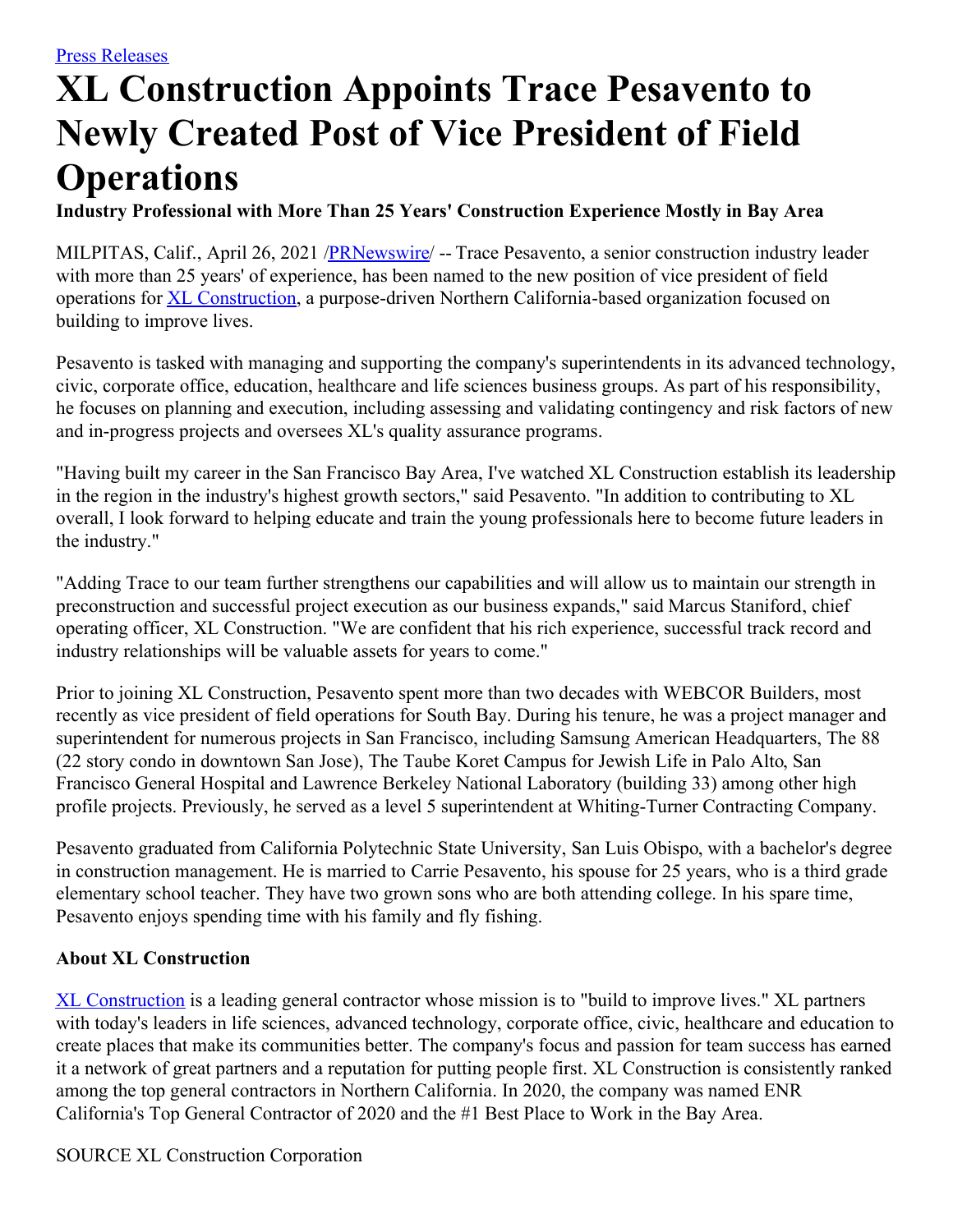## **XL Construction Appoints Trace Pesavento to Newly Created Post of Vice President of Field Operations**

**Industry Professional with More Than 25 Years' Construction Experience Mostly in Bay Area**

MILPITAS, Calif., April 26, 2021 /**PRNewswire/** -- Trace Pesavento, a senior construction industry leader with more than 25 years' of experience, has been named to the new position of vice president of field operations for XL [Construction](https://c212.net/c/link/?t=0&l=en&o=3140978-1&h=2453123174&u=https%3A%2F%2Fwww.xlconstruction.com%2F&a=XL+Construction), a purpose-driven Northern California-based organization focused on building to improve lives.

Pesavento is tasked with managing and supporting the company's superintendents in its advanced technology, civic, corporate office, education, healthcare and life sciences business groups. As part of his responsibility, he focuses on planning and execution, including assessing and validating contingency and risk factors of new and in-progress projects and oversees XL's quality assurance programs.

"Having built my career in the San Francisco Bay Area, I've watched XL Construction establish its leadership in the region in the industry's highest growth sectors," said Pesavento. "In addition to contributing to XL overall, I look forward to helping educate and train the young professionals here to become future leaders in the industry."

"Adding Trace to our team further strengthens our capabilities and will allow us to maintain our strength in preconstruction and successful project execution as our business expands," said Marcus Staniford, chief operating officer, XL Construction. "We are confident that his rich experience, successful track record and industry relationships will be valuable assets for years to come."

Prior to joining XL Construction, Pesavento spent more than two decades with WEBCOR Builders, most recently as vice president of field operations for South Bay. During his tenure, he was a project manager and superintendent for numerous projects in San Francisco, including Samsung American Headquarters, The 88 (22 story condo in downtown San Jose), The Taube Koret Campus for Jewish Life in Palo Alto, San Francisco General Hospital and Lawrence Berkeley National Laboratory (building 33) among other high profile projects. Previously, he served as a level 5 superintendent at Whiting-Turner Contracting Company.

Pesavento graduated from California Polytechnic State University, San Luis Obispo, with a bachelor's degree in construction management. He is married to Carrie Pesavento, his spouse for 25 years, who is a third grade elementary school teacher. They have two grown sons who are both attending college. In his spare time, Pesavento enjoys spending time with his family and fly fishing.

## **About XL Construction**

XL [Construction](https://c212.net/c/link/?t=0&l=en&o=3140978-1&h=2453123174&u=https%3A%2F%2Fwww.xlconstruction.com%2F&a=XL+Construction) is a leading general contractor whose mission is to "build to improve lives." XL partners with today's leaders in life sciences, advanced technology, corporate office, civic, healthcare and education to create places that make its communities better. The company's focus and passion for team success has earned it a network of great partners and a reputation for putting people first. XL Construction is consistently ranked among the top general contractors in Northern California. In 2020, the company was named ENR California's Top General Contractor of 2020 and the #1 Best Place to Work in the Bay Area.